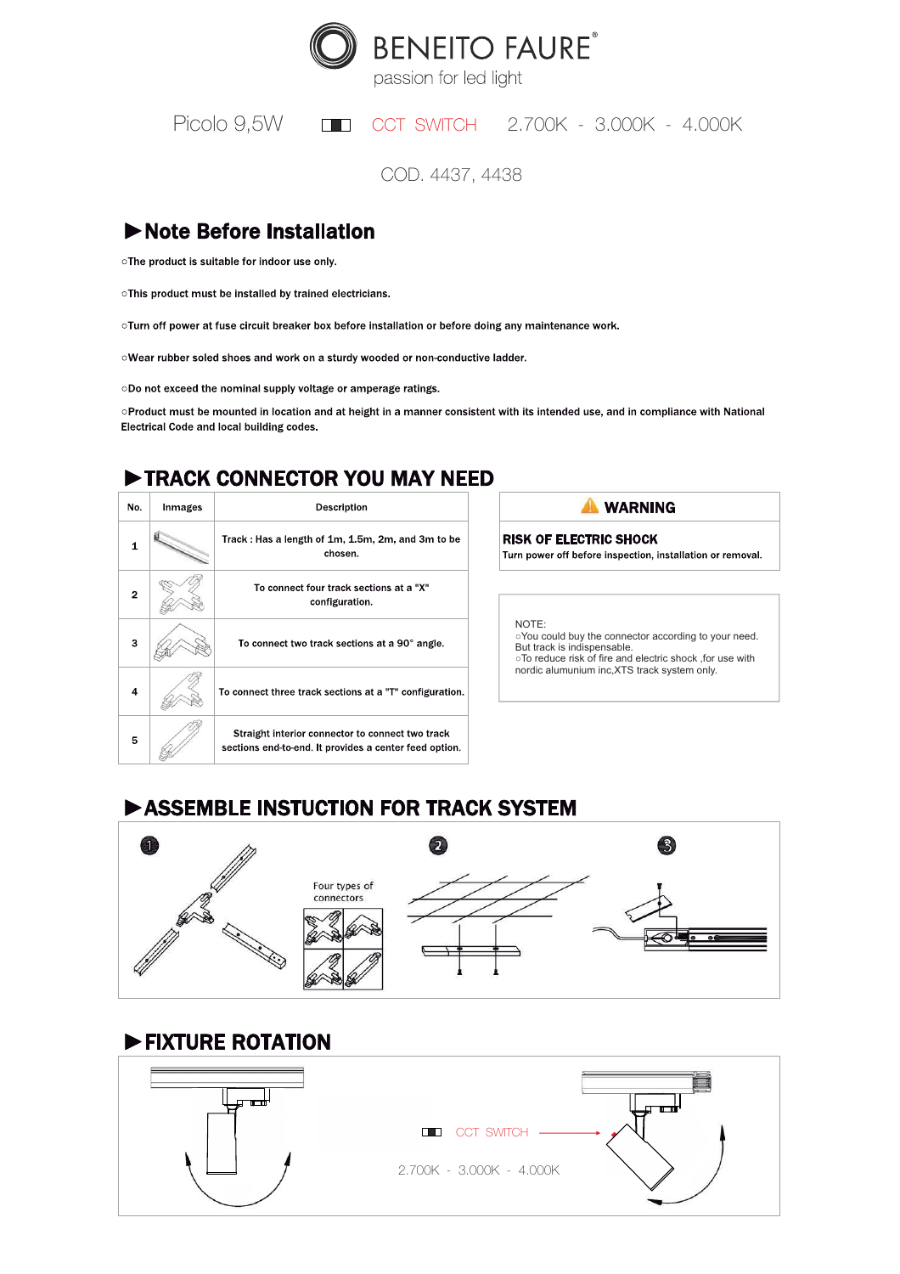

passion for led light

Picolo 9.5W CCT SWITCH 2.700K - 3.000K - 4.000K

COD. 4437, 4438

## Note Before Installation

oThe product is suitable for indoor use only.

oThis product must be installed by trained electricians.

oTurn off power at fuse circuit breaker box before installation or before doing any maintenance work.

oWear rubber soled shoes and work on a sturdy wooded or non-conductive ladder.

oDo not exceed the nominal supply voltage or amperage ratings.

oProduct must be mounted in location and at height in a manner consistent with its intended use, and in compliance with National Electrical Code and local building codes.

## TRACK CONNECTOR YOU MAY NEED

| No.            | Inmages | Description                                                                                                |
|----------------|---------|------------------------------------------------------------------------------------------------------------|
| 1              |         | Track: Has a length of 1m, 1.5m, 2m, and 3m to be<br>chosen.                                               |
| $\overline{2}$ |         | To connect four track sections at a "X"<br>configuration.                                                  |
| 3              |         | To connect two track sections at a 90° angle.                                                              |
| 4              |         | To connect three track sections at a "T" configuration.                                                    |
| 5              |         | Straight interior connector to connect two track<br>sections end-to-end. It provides a center feed option. |



**RISK OF ELECTRIC SHOCK** Turn power off before inspection, installation or removal.

NOTE:

○You could buy the connector according to your need. But track is indispensable. ○To reduce risk of fire and electric shock ,for use with nordic alumunium inc,XTS track system only.

# ASSEMBLE INSTUCTION FOR TRACK SYSTEM



#### FIXTURE ROTATION